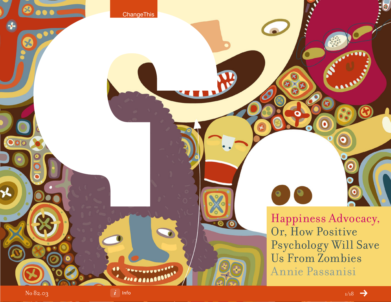

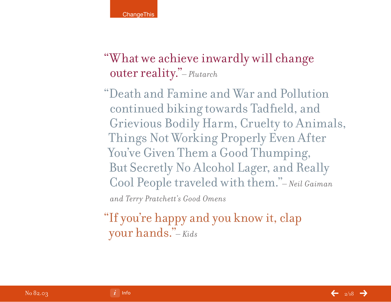"What we achieve inwardly will change outer reality."*– Plutarch*

"Death and Famine and War and Pollution continued biking towards Tadfield, and Grievious Bodily Harm, Cruelty to Animals, Things Not Working Properly Even After You've Given Them a Good Thumping, But Secretly No Alcohol Lager, and Really Cool People traveled with them."*– Neil Gaiman and Terry Pratchett's Good Omens*

"If you're happy and you know it, clap your hands."*– Kids*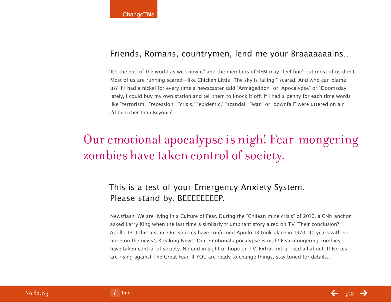### Friends, Romans, countrymen, lend me your Braaaaaaains…

"It's the end of the world as we know it" and the members of REM may "feel fine" but most of us don't. Most of us are running scared—like Chicken Little "The sky is falling!" scared. And who can blame us? If I had a nickel for every time a newscaster said "Armageddon" or "Apocalypse" or "Doomsday" lately, I could buy my own station and tell them to knock it off. If I had a penny for each time words like "terrorism," "recession," "crisis," "epidemic," "scandal," "war," or "downfall" were uttered on air, I'd be richer than Beyoncé.

## Our emotional apocalypse is nigh! Fear-mongering zombies have taken control of society.

## This is a test of your Emergency Anxiety System. Please stand by. BEEEEEEEEP.

Newsflash: We are living in a Culture of Fear. During the "Chilean mine crisis" of 2010, a CNN anchor asked Larry King when the last time a similarly triumphant story aired on TV. Their conclusion? Apollo 13. (This just in: Our sources have confirmed Apollo 13 took place in 1970. 40 years with no hope on the news?) Breaking News: Our emotional apocalypse is nigh! Fear-mongering zombies have taken control of society. No end in sight or hope on TV. Extra, extra, read all about it! Forces are rising against The Great Fear. If YOU are ready to change things, stay tuned for details…



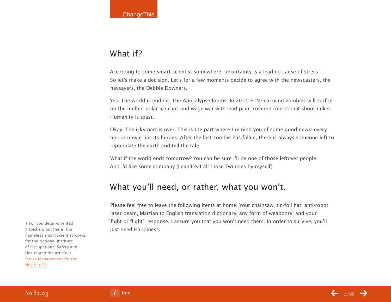### What if?

According to some smart scientist somewhere, uncertainty is a leading cause of stress.<sup>1</sup> So let's make a decision. Let's for a few moments decide to agree with the newscasters, the naysayers, the Debbie Downers.

Yes. The world is ending. The Apocalypse looms. In 2012, H1N1-carrying zombies will surf in on the melted polar ice caps and wage war with lead paint covered robots that shoot nukes. Humanity is toast.

Okay. The icky part is over. This is the part where I remind you of some good news: every horror movie has its heroes. After the last zombie has fallen, there is always someone left to repopulate the earth and tell the tale.

What if the world ends tomorrow? You can be sure I'll be one of those leftover people. And I'd like some company (I can't eat all those Twinkies by myself).

### What you'll need, or rather, what you won't.

Please feel free to leave the following items at home: Your chainsaw, tin-foil hat, anti-robot laser beam, Martian to English translation dictionary, any form of weaponry, and your "fight or flight" response. I assure you that you won't need them. In order to survive, you'll just need Happiness.

1 For you detail-oriented nitpickers out there, the nameless smart scientist works for the National Institute of Occupational Safety and Health and the article is [Stress Management for the](http://www.imcontagious.com/) [Health of It.](http://www.imcontagious.com/)

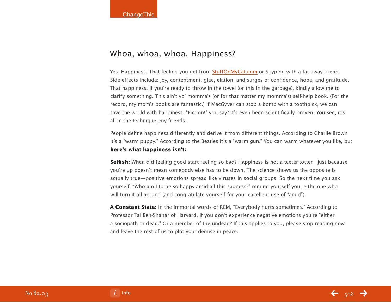### Whoa, whoa, whoa. Happiness?

Yes. Happiness. That feeling you get from [StuffOnMyCat.com](http://www.imcontagious.com/) or Skyping with a far away friend. Side effects include: joy, contentment, glee, elation, and surges of confidence, hope, and gratitude. That happiness. If you're ready to throw in the towel (or this in the garbage), kindly allow me to clarify something. This ain't yo' momma's (or for that matter my momma's) self-help book. (For the record, my mom's books are fantastic.) If MacGyver can stop a bomb with a toothpick, we can save the world with happiness. "Fiction!" you say? It's even been scientifically proven. You see, it's all in the technique, my friends.

People define happiness differently and derive it from different things. According to Charlie Brown it's a "warm puppy." According to the Beatles it's a "warm gun." You can warm whatever you like, but **here's what happiness isn't:**

**Selfish:** When did feeling good start feeling so bad? Happiness is not a teeter-totter—just because you're up doesn't mean somebody else has to be down. The science shows us the opposite is actually true—positive emotions spread like viruses in social groups. So the next time you ask yourself, "Who am I to be so happy amid all this sadness?" remind yourself you're the one who will turn it all around (and congratulate yourself for your excellent use of "amid").

**A Constant State:** In the immortal words of REM, "Everybody hurts sometimes." According to Professor Tal Ben-Shahar of Harvard, if you don't experience negative emotions you're "either a sociopath or dead." Or a member of the undead? If this applies to you, please stop reading now and leave the rest of us to plot your demise in peace.

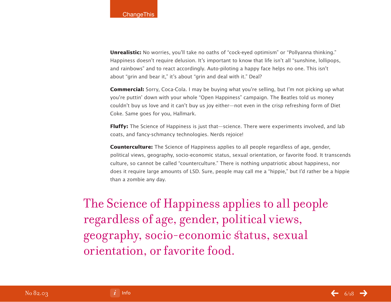**Unrealistic:** No worries, you'll take no oaths of "cock-eyed optimism" or "Pollyanna thinking." Happiness doesn't require delusion. It's important to know that life isn't all "sunshine, lollipops, and rainbows" and to react accordingly. Auto-piloting a happy face helps no one. This isn't about "grin and bear it," it's about "grin and deal with it." Deal?

**Commercial:** Sorry, Coca-Cola. I may be buying what you're selling, but I'm not picking up what you're puttin' down with your whole "Open Happiness" campaign. The Beatles told us money couldn't buy us love and it can't buy us joy either—not even in the crisp refreshing form of Diet Coke. Same goes for you, Hallmark.

**Fluffy:** The Science of Happiness is just that—science. There were experiments involved, and lab coats, and fancy-schmancy technologies. Nerds rejoice!

**Counterculture:** The Science of Happiness applies to all people regardless of age, gender, political views, geography, socio-economic status, sexual orientation, or favorite food. It transcends culture, so cannot be called "counterculture." There is nothing unpatriotic about happiness, nor does it require large amounts of LSD. Sure, people may call me a "hippie," but I'd rather be a hippie than a zombie any day.

The Science of Happiness applies to all people regardless of age, gender, political views, geography, socio-economic status, sexual orientation, or favorite food.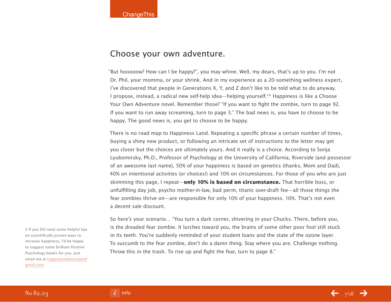#### Choose your own adventure.

"But hooooow? How can I be happy?", you may whine. Well, my dears, that's up to you. I'm not Dr. Phil, your momma, or your shrink. And in my experience as a 20-something wellness expert, I've discovered that people in Generations X, Y, and Z don't like to be told what to do anyway. I propose, instead, a radical new self-help idea—helping yourself.2\* Happiness is like a Choose Your Own Adventure novel. Remember those? "If you want to fight the zombie, turn to page 92. If you want to run away screaming, turn to page 3." The bad news is, you have to choose to be happy. The good news is, you get to choose to be happy.

There is no road map to Happiness Land. Repeating a specific phrase a certain number of times, buying a shiny new product, or following an intricate set of instructions to the letter may get you closer but the choices are ultimately yours. And it really is a choice. According to Sonja Lyubomirsky, Ph.D., Professor of Psychology at the University of California, Riverside (and possessor of an awesome last name), 50% of your happiness is based on genetics (thanks, Mom and Dad), 40% on intentional activities (or choices!) and 10% on circumstances. For those of you who are just skimming this page, I repeat—**only 10% is based on circumstance.** That horrible boss, or unfulfilling day job, psycho mother-in-law, bad perm, titanic over-draft fee—all those things the fear zombies thrive on—are responsible for only 10% of your happiness. 10%. That's not even a decent sale discount.

So here's your scenario… "You turn a dark corner, shivering in your Chucks. There, before you, is the dreaded fear zombie. It lurches toward you, the brains of some other poor fool still stuck in its teeth. You're suddenly reminded of your student loans and the state of the ozone layer. To succumb to the fear zombie, don't do a damn thing. Stay where you are. Challenge nothing. Throw this in the trash. To rise up and fight the fear, turn to page 8."

2 If you DO need some helpful tips on scientifically proven ways to increase happiness, I'd be happy to suggest some brilliant Positive Psychology books for you. Just email me at [HappinessAdvocates@](http://www.imcontagious.com/) [gmail.com.](http://www.imcontagious.com/)

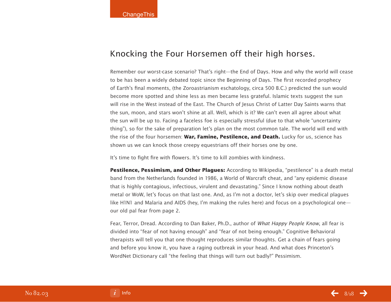### Knocking the Four Horsemen off their high horses.

Remember our worst-case scenario? That's right—the End of Days. How and why the world will cease to be has been a widely debated topic since the Beginning of Days. The first recorded prophecy of Earth's final moments, (the Zoroastrianism eschatology, circa 500 B.C.) predicted the sun would become more spotted and shine less as men became less grateful. Islamic texts suggest the sun will rise in the West instead of the East. The Church of Jesus Christ of Latter Day Saints warns that the sun, moon, and stars won't shine at all. Well, which is it? We can't even all agree about what the sun will be up to. Facing a faceless foe is especially stressful (due to that whole "uncertainty thing"), so for the sake of preparation let's plan on the most common tale. The world will end with the rise of the four horsemen: **War, Famine, Pestilence, and Death.** Lucky for us, science has shown us we can knock those creepy equestrians off their horses one by one.

It's time to fight fire with flowers. It's time to kill zombies with kindness.

**Pestilence, Pessimism, and Other Plagues:** According to Wikipedia, "pestilence" is a death metal band from the Netherlands founded in 1986, a World of Warcraft cheat, and "any epidemic disease that is highly contagious, infectious, virulent and devastating." Since I know nothing about death metal or WoW, let's focus on that last one. And, as I'm not a doctor, let's skip over medical plagues like H1N1 and Malaria and AIDS (hey, I'm making the rules here) and focus on a psychological one our old pal fear from page 2.

Fear, Terror, Dread. According to Dan Baker, Ph.D., author of What Happy People Know, all fear is divided into "fear of not having enough" and "fear of not being enough." Cognitive Behavioral therapists will tell you that one thought reproduces similar thoughts. Get a chain of fears going and before you know it, you have a raging outbreak in your head. And what does Princeton's WordNet Dictionary call "the feeling that things will turn out badly?" Pessimism.

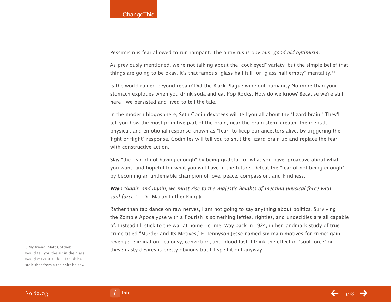Pessimism is fear allowed to run rampant. The antivirus is obvious: *good old optimism.* 

As previously mentioned, we're not talking about the "cock-eyed" variety, but the simple belief that things are going to be okay. It's that famous "glass half-full" or "glass half-empty" mentality.<sup>3\*</sup>

Is the world ruined beyond repair? Did the Black Plague wipe out humanity No more than your stomach explodes when you drink soda and eat Pop Rocks. How do we know? Because we're still here—we persisted and lived to tell the tale.

In the modern blogosphere, Seth Godin devotees will tell you all about the "lizard brain." They'll tell you how the most primitive part of the brain, near the brain stem, created the mental, physical, and emotional response known as "fear" to keep our ancestors alive, by triggering the "fight or flight" response. Godinites will tell you to shut the lizard brain up and replace the fear with constructive action.

Slay "the fear of not having enough" by being grateful for what you have, proactive about what you want, and hopeful for what you will have in the future. Defeat the "fear of not being enough" by becoming an undeniable champion of love, peace, compassion, and kindness.

**War:** "Again and again, we must rise to the majestic heights of meeting physical force with soul force." - Dr. Martin Luther King Jr.

Rather than tap dance on raw nerves, I am not going to say anything about politics. Surviving the Zombie Apocalypse with a flourish is something lefties, righties, and undecidies are all capable of. Instead I'll stick to the war at home—crime. Way back in 1924, in her landmark study of true crime titled "Murder and Its Motives," F. Tennyson Jesse named six main motives for crime: gain, revenge, elimination, jealousy, conviction, and blood lust. I think the effect of "soul force" on these nasty desires is pretty obvious but I'll spell it out anyway. 3 My friend, Matt Gottlieb,

would tell you the air in the glass would make it all full. I think he stole that from a tee-shirt he saw.

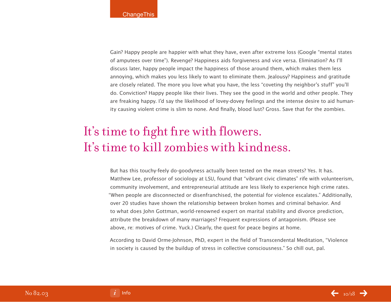Gain? Happy people are happier with what they have, even after extreme loss (Google "mental states of amputees over time"). Revenge? Happiness aids forgiveness and vice versa. Elimination? As I'll discuss later, happy people impact the happiness of those around them, which makes them less annoying, which makes you less likely to want to eliminate them. Jealousy? Happiness and gratitude are closely related. The more you love what you have, the less "coveting thy neighbor's stuff" you'll do. Conviction? Happy people like their lives. They see the good in the world and other people. They are freaking happy. I'd say the likelihood of lovey-dovey feelings and the intense desire to aid humanity causing violent crime is slim to none. And finally, blood lust? Gross. Save that for the zombies.

# It's time to fight fire with flowers. It's time to kill zombies with kindness.

But has this touchy-feely do-goodyness actually been tested on the mean streets? Yes. It has. Matthew Lee, professor of sociology at LSU, found that "vibrant civic climates" rife with volunteerism, community involvement, and entrepreneurial attitude are less likely to experience high crime rates. "When people are disconnected or disenfranchised, the potential for violence escalates." Additionally, over 20 studies have shown the relationship between broken homes and criminal behavior. And to what does John Gottman, world-renowned expert on marital stability and divorce prediction, attribute the breakdown of many marriages? Frequent expressions of antagonism. (Please see above, re: motives of crime. Yuck.) Clearly, the quest for peace begins at home.

According to David Orme-Johnson, PhD, expert in the field of Transcendental Meditation, "Violence in society is caused by the buildup of stress in collective consciousness." So chill out, pal.

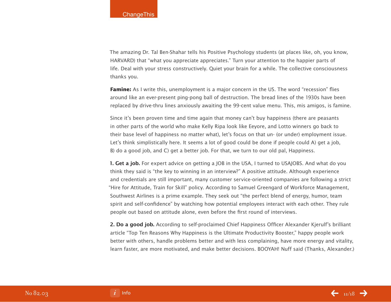The amazing Dr. Tal Ben-Shahar tells his Positive Psychology students (at places like, oh, you know, HARVARD) that "what you appreciate appreciates." Turn your attention to the happier parts of life. Deal with your stress constructively. Quiet your brain for a while. The collective consciousness thanks you.

**Famine:** As I write this, unemployment is a major concern in the US. The word "recession" flies around like an ever-present ping-pong ball of destruction. The bread lines of the 1930s have been replaced by drive-thru lines anxiously awaiting the 99-cent value menu. This, mis amigos, is famine.

Since it's been proven time and time again that money can't buy happiness (there are peasants in other parts of the world who make Kelly Ripa look like Eeyore, and Lotto winners go back to their base level of happiness no matter what), let's focus on that un- (or under) employment issue. Let's think simplistically here. It seems a lot of good could be done if people could A) get a job, B) do a good job, and C) get a better job. For that, we turn to our old pal, Happiness.

**1. Get a job.** For expert advice on getting a JOB in the USA, I turned to USAJOBS. And what do you think they said is "the key to winning in an interview?" A positive attitude. Although experience and credentials are still important, many customer service-oriented companies are following a strict "Hire for Attitude, Train for Skill" policy. According to Samuel Greengard of Workforce Management, Southwest Airlines is a prime example. They seek out "the perfect blend of energy, humor, team spirit and self-confidence" by watching how potential employees interact with each other. They rule people out based on attitude alone, even before the first round of interviews.

**2. Do a good job.** According to self-proclaimed Chief Happiness Officer Alexander Kjerulf's brilliant article "Top Ten Reasons Why Happiness is the Ultimate Productivity Booster," happy people work better with others, handle problems better and with less complaining, have more energy and vitality, learn faster, are more motivated, and make better decisions. BOOYAH! Nuff said (Thanks, Alexander.)

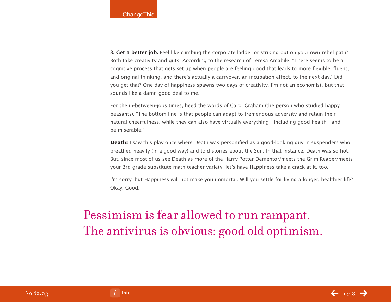**3. Get a better job.** Feel like climbing the corporate ladder or striking out on your own rebel path? Both take creativity and guts. According to the research of Teresa Amabile, "There seems to be a cognitive process that gets set up when people are feeling good that leads to more flexible, fluent, and original thinking, and there's actually a carryover, an incubation effect, to the next day." Did you get that? One day of happiness spawns two days of creativity. I'm not an economist, but that sounds like a damn good deal to me.

For the in-between-jobs times, heed the words of Carol Graham (the person who studied happy peasants), "The bottom line is that people can adapt to tremendous adversity and retain their natural cheerfulness, while they can also have virtually everything—including good health—and be miserable."

**Death:** I saw this play once where Death was personified as a good-looking guy in suspenders who breathed heavily (in a good way) and told stories about the Sun. In that instance, Death was so hot. But, since most of us see Death as more of the Harry Potter Dementor/meets the Grim Reaper/meets your 3rd grade substitute math teacher variety, let's have Happiness take a crack at it, too.

I'm sorry, but Happiness will not make you immortal. Will you settle for living a longer, healthier life? Okay. Good.

## Pessimism is fear allowed to run rampant. The antivirus is obvious: good old optimism.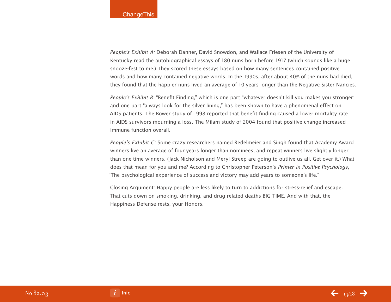People's Exhibit A: Deborah Danner, David Snowdon, and Wallace Friesen of the University of Kentucky read the autobiographical essays of 180 nuns born before 1917 (which sounds like a huge snooze-fest to me.) They scored these essays based on how many sentences contained positive words and how many contained negative words. In the 1990s, after about 40% of the nuns had died, they found that the happier nuns lived an average of 10 years longer than the Negative Sister Nancies.

People's Exhibit B: "Benefit Finding," which is one part "whatever doesn't kill you makes you stronger: and one part "always look for the silver lining," has been shown to have a phenomenal effect on AIDS patients. The Bower study of 1998 reported that benefit finding caused a lower mortality rate in AIDS survivors mourning a loss. The Milam study of 2004 found that positive change increased immune function overall.

People's Exhibit C: Some crazy researchers named Redelmeier and Singh found that Academy Award winners live an average of four years longer than nominees, and repeat winners live slightly longer than one-time winners. (Jack Nicholson and Meryl Streep are going to outlive us all. Get over it.) What does that mean for you and me? According to Christopher Peterson's Primer in Positive Psychology, "The psychological experience of success and victory may add years to someone's life."

Closing Argument: Happy people are less likely to turn to addictions for stress-relief and escape. That cuts down on smoking, drinking, and drug-related deaths BIG TIME. And with that, the Happiness Defense rests, your Honors.

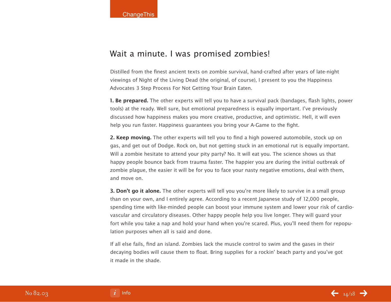#### Wait a minute. I was promised zombies!

Distilled from the finest ancient texts on zombie survival, hand-crafted after years of late-night viewings of Night of the Living Dead (the original, of course), I present to you the Happiness Advocates 3 Step Process For Not Getting Your Brain Eaten.

**1. Be prepared.** The other experts will tell you to have a survival pack (bandages, flash lights, power tools) at the ready. Well sure, but emotional preparedness is equally important. I've previously discussed how happiness makes you more creative, productive, and optimistic. Hell, it will even help you run faster. Happiness guarantees you bring your A-Game to the fight.

**2. Keep moving.** The other experts will tell you to find a high powered automobile, stock up on gas, and get out of Dodge. Rock on, but not getting stuck in an emotional rut is equally important. Will a zombie hesitate to attend your pity party? No. It will eat you. The science shows us that happy people bounce back from trauma faster. The happier you are during the initial outbreak of zombie plague, the easier it will be for you to face your nasty negative emotions, deal with them, and move on.

**3. Don't go it alone.** The other experts will tell you you're more likely to survive in a small group than on your own, and I entirely agree. According to a recent Japanese study of 12,000 people, spending time with like-minded people can boost your immune system and lower your risk of cardiovascular and circulatory diseases. Other happy people help you live longer. They will guard your fort while you take a nap and hold your hand when you're scared. Plus, you'll need them for repopulation purposes when all is said and done.

If all else fails, find an island. Zombies lack the muscle control to swim and the gases in their decaying bodies will cause them to float. Bring supplies for a rockin' beach party and you've got it made in the shade.

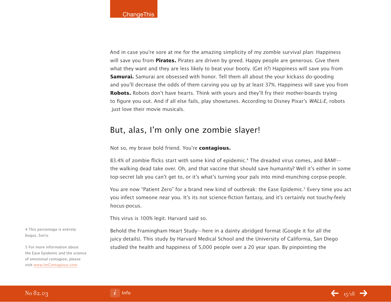And in case you're sore at me for the amazing simplicity of my zombie survival plan: Happiness will save you from **Pirates.** Pirates are driven by greed. Happy people are generous. Give them what they want and they are less likely to beat your booty. (Get it?) Happiness will save you from **Samurai.** Samurai are obsessed with honor. Tell them all about the your kickass do-gooding and you'll decrease the odds of them carving you up by at least 37%. Happiness will save you from **Robots.** Robots don't have hearts. Think with yours and they'll fry their mother-boards trying to figure you out. And if all else fails, play showtunes. According to Disney Pixar's WALL-E, robots just love their movie musicals.

### But, alas, I'm only one zombie slayer!

Not so, my brave bold friend. You're **contagious.**

83.4% of zombie flicks start with some kind of epidemic.<sup>4</sup> The dreaded virus comes, and BAM!the walking dead take over. Oh, and that vaccine that should save humanity? Well it's either in some top-secret lab you can't get to, or it's what's turning your pals into mind-munching corpse-people.

You are now "Patient Zero" for a brand new kind of outbreak: the Ease Epidemic.<sup>5</sup> Every time you act you infect someone near you. It's its not science-fiction fantasy, and it's certainly not touchy-feely hocus-pocus.

This virus is 100% legit. Harvard said so.

4 This percentage is entirely bogus. Sorry.

5 For more information about the Ease Epidemic and the science of emotional contagion, please visit [www.ImContagious.com.](http://www.imcontagious.com/)

Behold the Framingham Heart Study—here in a dainty abridged format (Google it for all the juicy details). This study by Harvard Medical School and the University of California, San Diego studied the health and happiness of 5,000 people over a 20 year span. By pinpointing the



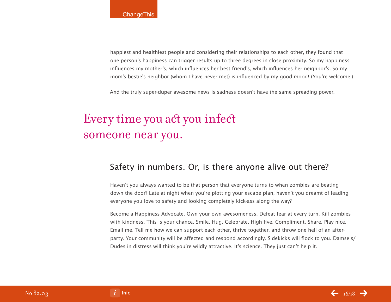happiest and healthiest people and considering their relationships to each other, they found that one person's happiness can trigger results up to three degrees in close proximity. So my happiness influences my mother's, which influences her best friend's, which influences her neighbor's. So my mom's bestie's neighbor (whom I have never met) is influenced by my good mood! (You're welcome.)

And the truly super-duper awesome news is sadness doesn't have the same spreading power.

## Every time you act you infect someone near you.

### Safety in numbers. Or, is there anyone alive out there?

Haven't you always wanted to be that person that everyone turns to when zombies are beating down the door? Late at night when you're plotting your escape plan, haven't you dreamt of leading everyone you love to safety and looking completely kick-ass along the way?

Become a Happiness Advocate. Own your own awesomeness. Defeat fear at every turn. Kill zombies with kindness. This is your chance. Smile. Hug. Celebrate. High-five. Compliment. Share. Play nice. Email me. Tell me how we can support each other, thrive together, and throw one hell of an afterparty. Your community will be affected and respond accordingly. Sidekicks will flock to you. Damsels/ Dudes in distress will think you're wildly attractive. It's science. They just can't help it.

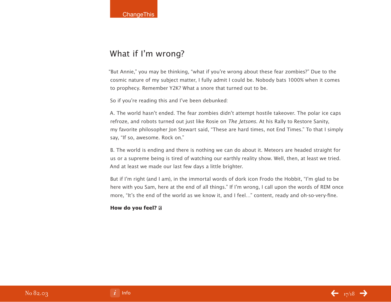## What if I'm wrong?

"But Annie," you may be thinking, "what if you're wrong about these fear zombies?" Due to the cosmic nature of my subject matter, I fully admit I could be. Nobody bats 1000% when it comes to prophecy. Remember Y2K? What a snore that turned out to be.

So if you're reading this and I've been debunked:

A. The world hasn't ended. The fear zombies didn't attempt hostile takeover. The polar ice caps refroze, and robots turned out just like Rosie on The Jetsons. At his Rally to Restore Sanity, my favorite philosopher Jon Stewart said, "These are hard times, not End Times." To that I simply say, "If so, awesome. Rock on."

B. The world is ending and there is nothing we can do about it. Meteors are headed straight for us or a supreme being is tired of watching our earthly reality show. Well, then, at least we tried. And at least we made our last few days a little brighter.

But if I'm right (and I am), in the immortal words of dork icon Frodo the Hobbit, "I'm glad to be here with you Sam, here at the end of all things." If I'm wrong, I call upon the words of REM once more, "It's the end of the world as we know it, and I feel…" content, ready and oh-so-very-fine.

#### **How do you feel?**